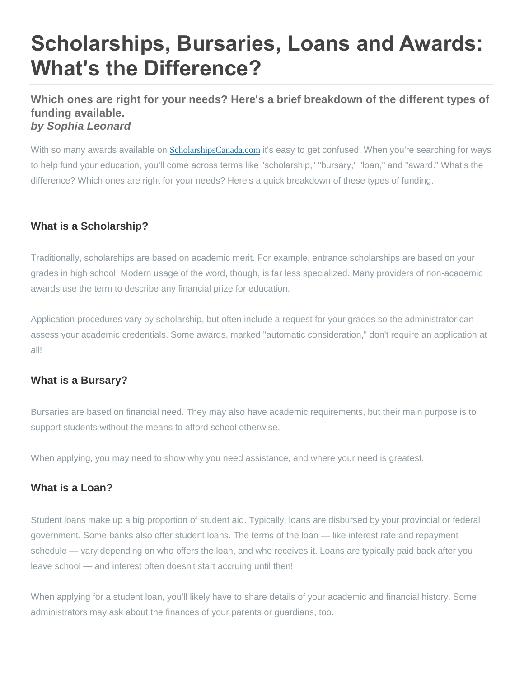# **Scholarships, Bursaries, Loans and Awards: What's the Difference?**

# **Which ones are right for your needs? Here's a brief breakdown of the different types of funding available.** *by Sophia Leonard*

With so many awards available on [ScholarshipsCanada.com](https://www.scholarshipscanada.com/) it's easy to get confused. When you're searching for ways to help fund your education, you'll come across terms like "scholarship," "bursary," "loan," and "award." What's the difference? Which ones are right for your needs? Here's a quick breakdown of these types of funding.

## **What is a Scholarship?**

Traditionally, scholarships are based on academic merit. For example, entrance scholarships are based on your grades in high school. Modern usage of the word, though, is far less specialized. Many providers of non-academic awards use the term to describe any financial prize for education.

Application procedures vary by scholarship, but often include a request for your grades so the administrator can assess your academic credentials. Some awards, marked "automatic consideration," don't require an application at all!

#### **What is a Bursary?**

Bursaries are based on financial need. They may also have academic requirements, but their main purpose is to support students without the means to afford school otherwise.

When applying, you may need to show why you need assistance, and where your need is greatest.

#### **What is a Loan?**

Student loans make up a big proportion of student aid. Typically, loans are disbursed by your provincial or federal government. Some banks also offer student loans. The terms of the loan — like interest rate and repayment schedule — vary depending on who offers the loan, and who receives it. Loans are typically paid back after you leave school — and interest often doesn't start accruing until then!

When applying for a student loan, you'll likely have to share details of your academic and financial history. Some administrators may ask about the finances of your parents or guardians, too.